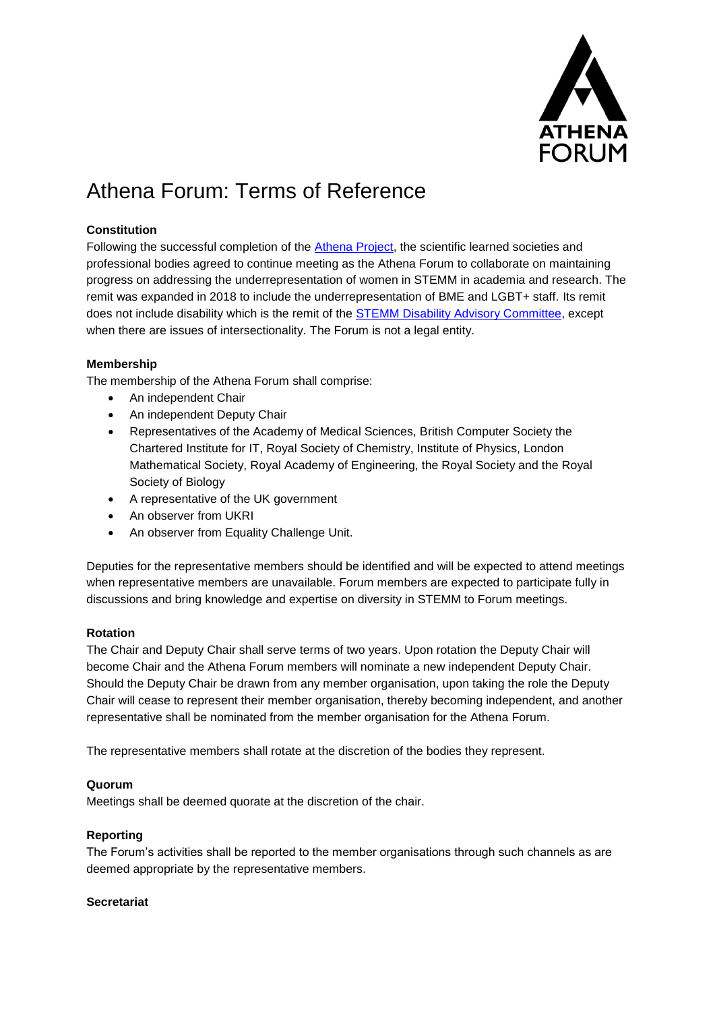

# Athena Forum: Terms of Reference

## **Constitution**

Following the successful completion of the [Athena Project,](https://athenaforum.org.uk/the-original-athena-project/) the scientific learned societies and professional bodies agreed to continue meeting as the Athena Forum to collaborate on maintaining progress on addressing the underrepresentation of women in STEMM in academia and research. The remit was expanded in 2018 to include the underrepresentation of BME and LGBT+ staff. Its remit does not include disability which is the remit of the [STEMM Disability Advisory Committee,](http://stemdisability.org.uk/) except when there are issues of intersectionality. The Forum is not a legal entity.

## **Membership**

The membership of the Athena Forum shall comprise:

- An independent Chair
- An independent Deputy Chair
- Representatives of the Academy of Medical Sciences, British Computer Society the Chartered Institute for IT, Royal Society of Chemistry, Institute of Physics, London Mathematical Society, Royal Academy of Engineering, the Royal Society and the Royal Society of Biology
- A representative of the UK government
- An observer from UKRI
- An observer from Equality Challenge Unit.

Deputies for the representative members should be identified and will be expected to attend meetings when representative members are unavailable. Forum members are expected to participate fully in discussions and bring knowledge and expertise on diversity in STEMM to Forum meetings.

#### **Rotation**

The Chair and Deputy Chair shall serve terms of two years. Upon rotation the Deputy Chair will become Chair and the Athena Forum members will nominate a new independent Deputy Chair. Should the Deputy Chair be drawn from any member organisation, upon taking the role the Deputy Chair will cease to represent their member organisation, thereby becoming independent, and another representative shall be nominated from the member organisation for the Athena Forum.

The representative members shall rotate at the discretion of the bodies they represent.

#### **Quorum**

Meetings shall be deemed quorate at the discretion of the chair.

#### **Reporting**

The Forum's activities shall be reported to the member organisations through such channels as are deemed appropriate by the representative members.

#### **Secretariat**